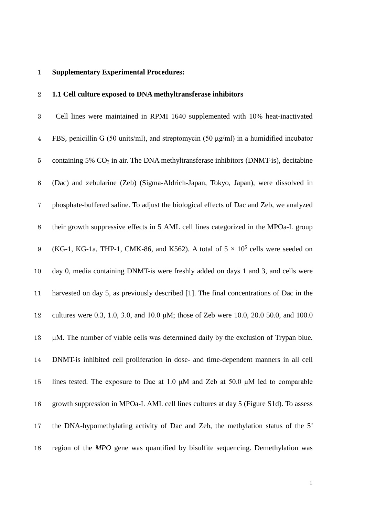### **Supplementary Experimental Procedures:**

### **1.1 Cell culture exposed to DNA methyltransferase inhibitors**

 Cell lines were maintained in RPMI 1640 supplemented with 10% heat-inactivated FBS, penicillin G (50 units/ml), and streptomycin (50 μg/ml) in a humidified incubator 5 containing 5%  $CO<sub>2</sub>$  in air. The DNA methyltransferase inhibitors (DNMT-is), decitabine (Dac) and zebularine (Zeb) (Sigma-Aldrich-Japan, Tokyo, Japan), were dissolved in phosphate-buffered saline. To adjust the biological effects of Dac and Zeb, we analyzed their growth suppressive effects in 5 AML cell lines categorized in the MPOa-L group 9 (KG-1, KG-1a, THP-1, CMK-86, and K562). A total of  $5 \times 10^5$  cells were seeded on day 0, media containing DNMT-is were freshly added on days 1 and 3, and cells were harvested on day 5, as previously described [1]. The final concentrations of Dac in the cultures were 0.3, 1.0, 3.0, and 10.0 μM; those of Zeb were 10.0, 20.0 50.0, and 100.0 μM. The number of viable cells was determined daily by the exclusion of Trypan blue. DNMT-is inhibited cell proliferation in dose- and time-dependent manners in all cell lines tested. The exposure to Dac at 1.0 μM and Zeb at 50.0 μM led to comparable growth suppression in MPOa-L AML cell lines cultures at day 5 (Figure S1d). To assess the DNA-hypomethylating activity of Dac and Zeb, the methylation status of the 5' region of the *MPO* gene was quantified by bisulfite sequencing. Demethylation was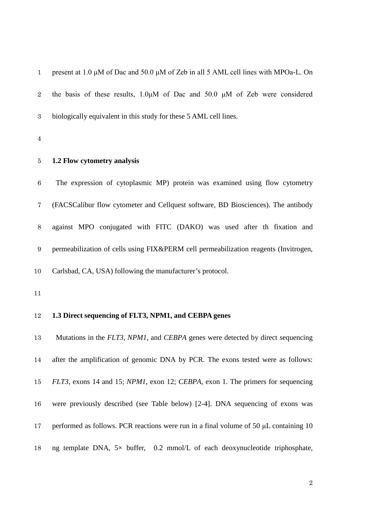| $\mathbf{1}$     | present at 1.0 $\mu$ M of Dac and 50.0 $\mu$ M of Zeb in all 5 AML cell lines with MPOa-L. On          |
|------------------|--------------------------------------------------------------------------------------------------------|
| $\sqrt{2}$       | the basis of these results, $1.0\mu$ M of Dac and 50.0 $\mu$ M of Zeb were considered                  |
| $\boldsymbol{3}$ | biologically equivalent in this study for these 5 AML cell lines.                                      |
| $\bf 4$          |                                                                                                        |
| $\bf 5$          | 1.2 Flow cytometry analysis                                                                            |
| $\,6\,$          | The expression of cytoplasmic MP) protein was examined using flow cytometry                            |
| $\bf 7$          | (FACSCalibur flow cytometer and Cellquest software, BD Biosciences). The antibody                      |
| $8\,$            | against MPO conjugated with FITC (DAKO) was used after th fixation and                                 |
| $\boldsymbol{9}$ | permeabilization of cells using FIX&PERM cell permeabilization reagents (Invitrogen,                   |
| 10               | Carlsbad, CA, USA) following the manufacturer's protocol.                                              |
| 11               |                                                                                                        |
| 12               | 1.3 Direct sequencing of FLT3, NPM1, and CEBPA genes                                                   |
| 13               | Mutations in the <i>FLT3</i> , <i>NPM1</i> , and <i>CEBPA</i> genes were detected by direct sequencing |
| 14               | after the amplification of genomic DNA by PCR. The exons tested were as follows:                       |
| 15               | FLT3, exons 14 and 15; NPM1, exon 12; CEBPA, exon 1. The primers for sequencing                        |
| 16               | were previously described (see Table below) [2-4]. DNA sequencing of exons was                         |
| 17               | performed as follows. PCR reactions were run in a final volume of 50 µL containing 10                  |
| 18               | ng template DNA, $5 \times$ buffer, 0.2 mmol/L of each deoxynucleotide triphosphate,                   |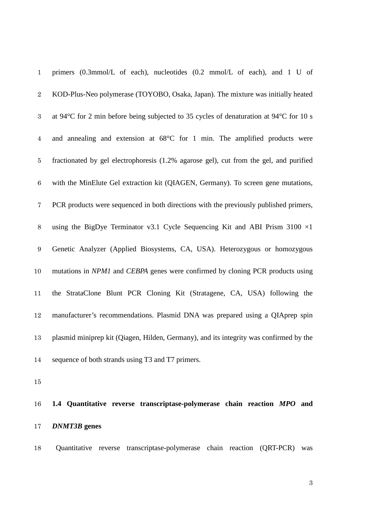| $\mathbf 1$      | primers (0.3mmol/L of each), nucleotides (0.2 mmol/L of each), and 1 U of                                  |
|------------------|------------------------------------------------------------------------------------------------------------|
| $\sqrt{2}$       | KOD-Plus-Neo polymerase (TOYOBO, Osaka, Japan). The mixture was initially heated                           |
| $\boldsymbol{3}$ | at 94 $\degree$ C for 2 min before being subjected to 35 cycles of denaturation at 94 $\degree$ C for 10 s |
| $\overline{4}$   | and annealing and extension at $68^{\circ}$ C for 1 min. The amplified products were                       |
| $\bf 5$          | fractionated by gel electrophoresis (1.2% agarose gel), cut from the gel, and purified                     |
| $\,6\,$          | with the MinElute Gel extraction kit (QIAGEN, Germany). To screen gene mutations,                          |
| $\bf 7$          | PCR products were sequenced in both directions with the previously published primers,                      |
| $8\,$            | using the BigDye Terminator v3.1 Cycle Sequencing Kit and ABI Prism 3100 $\times$ 1                        |
| $\boldsymbol{9}$ | Genetic Analyzer (Applied Biosystems, CA, USA). Heterozygous or homozygous                                 |
| $10\,$           | mutations in NPM1 and CEBPA genes were confirmed by cloning PCR products using                             |
| 11               | the StrataClone Blunt PCR Cloning Kit (Stratagene, CA, USA) following the                                  |
| 12               | manufacturer's recommendations. Plasmid DNA was prepared using a QIAprep spin                              |
| 13               | plasmid miniprep kit (Qiagen, Hilden, Germany), and its integrity was confirmed by the                     |
| 14               | sequence of both strands using T3 and T7 primers.                                                          |

# **1.4 Quantitative reverse transcriptase-polymerase chain reaction** *MPO* **and**  *DNMT3B* **genes**

Quantitative reverse transcriptase-polymerase chain reaction (QRT-PCR) was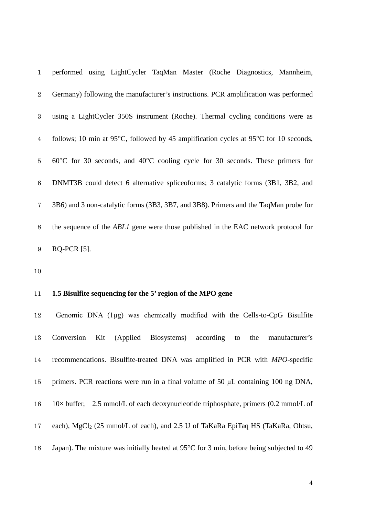| $\mathbf{1}$    | performed using LightCycler TaqMan Master (Roche Diagnostics, Mannheim,                                  |
|-----------------|----------------------------------------------------------------------------------------------------------|
| $\overline{2}$  | Germany) following the manufacturer's instructions. PCR amplification was performed                      |
| $3\overline{ }$ | using a LightCycler 350S instrument (Roche). Thermal cycling conditions were as                          |
| $\overline{4}$  | follows; 10 min at 95 $\degree$ C, followed by 45 amplification cycles at 95 $\degree$ C for 10 seconds, |
| $5\overline{)}$ | $60^{\circ}$ C for 30 seconds, and $40^{\circ}$ C cooling cycle for 30 seconds. These primers for        |
| 6               | DNMT3B could detect 6 alternative splice of orms; 3 catalytic forms (3B1, 3B2, and                       |
| 7               | 3B6) and 3 non-catalytic forms (3B3, 3B7, and 3B8). Primers and the TaqMan probe for                     |
| 8               | the sequence of the ABLI gene were those published in the EAC network protocol for                       |
| 9               | <b>RQ-PCR [5].</b>                                                                                       |

### **1.5 Bisulfite sequencing for the 5' region of the MPO gene**

 Genomic DNA (1μg) was chemically modified with the Cells-to-CpG Bisulfite Conversion Kit (Applied Biosystems) according to the manufacturer's recommendations. Bisulfite-treated DNA was amplified in PCR with *MPO*-specific primers. PCR reactions were run in a final volume of 50 μL containing 100 ng DNA, 10× buffer, 2.5 mmol/L of each deoxynucleotide triphosphate, primers (0.2 mmol/L of each), MgCl2 (25 mmol/L of each), and 2.5 U of TaKaRa EpiTaq HS (TaKaRa, Ohtsu, Japan). The mixture was initially heated at 95°C for 3 min, before being subjected to 49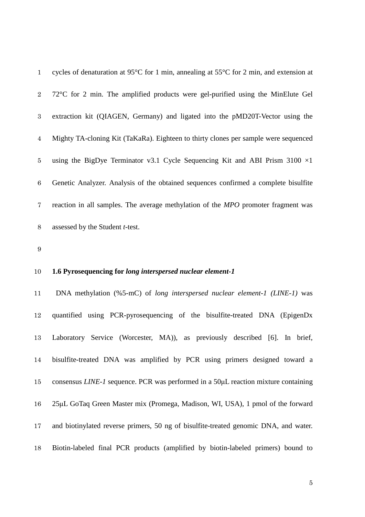| $\mathbf{1}$   | cycles of denaturation at 95 $\rm{^{\circ}C}$ for 1 min, annealing at 55 $\rm{^{\circ}C}$ for 2 min, and extension at |
|----------------|-----------------------------------------------------------------------------------------------------------------------|
| $2^{\circ}$    | $72^{\circ}$ C for 2 min. The amplified products were gel-purified using the MinElute Gel                             |
| 3              | extraction kit (QIAGEN, Germany) and ligated into the pMD20T-Vector using the                                         |
| 4              | Mighty TA-cloning Kit (TaKaRa). Eighteen to thirty clones per sample were sequenced                                   |
| 5              | using the BigDye Terminator v3.1 Cycle Sequencing Kit and ABI Prism 3100 $\times$ 1                                   |
| 6              | Genetic Analyzer. Analysis of the obtained sequences confirmed a complete bisulfite                                   |
| $7\phantom{.}$ | reaction in all samples. The average methylation of the MPO promoter fragment was                                     |
| 8              | assessed by the Student t-test.                                                                                       |

### **1.6 Pyrosequencing for** *long interspersed nuclear element-1*

 DNA methylation (%5-mC) of *long interspersed nuclear element-1 (LINE-1)* was quantified using PCR-pyrosequencing of the bisulfite-treated DNA (EpigenDx Laboratory Service (Worcester, MA)), as previously described [6]. In brief, bisulfite-treated DNA was amplified by PCR using primers designed toward a consensus *LINE-1* sequence. PCR was performed in a 50μL reaction mixture containing 25μL GoTaq Green Master mix (Promega, Madison, WI, USA), 1 pmol of the forward and biotinylated reverse primers, 50 ng of bisulfite-treated genomic DNA, and water. Biotin-labeled final PCR products (amplified by biotin-labeled primers) bound to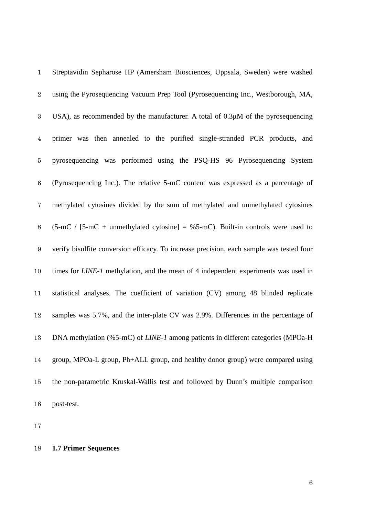| $\mathbf{1}$     | Streptavidin Sepharose HP (Amersham Biosciences, Uppsala, Sweden) were washed                     |
|------------------|---------------------------------------------------------------------------------------------------|
| $\sqrt{2}$       | using the Pyrosequencing Vacuum Prep Tool (Pyrosequencing Inc., Westborough, MA,                  |
| $\boldsymbol{3}$ | USA), as recommended by the manufacturer. A total of $0.3\mu$ M of the pyrosequencing             |
| $\overline{4}$   | primer was then annealed to the purified single-stranded PCR products, and                        |
| $\bf 5$          | pyrosequencing was performed using the PSQ-HS 96 Pyrosequencing System                            |
| $\,6\,$          | (Pyrosequencing Inc.). The relative 5-mC content was expressed as a percentage of                 |
| $\sqrt{ }$       | methylated cytosines divided by the sum of methylated and unmethylated cytosines                  |
| $8\,$            | $(5 \text{-mC} / [5 \text{-mC} +$ unmethylated cytosine] = %5-mC). Built-in controls were used to |
| $\boldsymbol{9}$ | verify bisulfite conversion efficacy. To increase precision, each sample was tested four          |
| 10               | times for LINE-1 methylation, and the mean of 4 independent experiments was used in               |
| 11               | statistical analyses. The coefficient of variation (CV) among 48 blinded replicate                |
| 12               | samples was 5.7%, and the inter-plate CV was 2.9%. Differences in the percentage of               |
| 13               | DNA methylation (%5-mC) of <i>LINE-1</i> among patients in different categories (MPOa-H           |
| 14               | group, MPOa-L group, Ph+ALL group, and healthy donor group) were compared using                   |
| 15               | the non-parametric Kruskal-Wallis test and followed by Dunn's multiple comparison                 |
| 16               | post-test.                                                                                        |

## **1.7 Primer Sequences**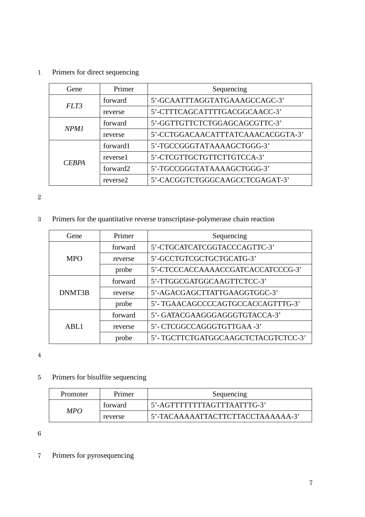### 1 Primers for direct sequencing

| Gene             | Primer               | Sequencing                        |
|------------------|----------------------|-----------------------------------|
| FLT3             | forward              | 5'-GCAATTTAGGTATGAAAGCCAGC-3'     |
|                  | reverse              | 5'-CTTTCAGCATTTTGACGGCAACC-3'     |
| NPM <sub>1</sub> | forward              | 5'-GGTTGTTCTCTGGAGCAGCGTTC-3'     |
|                  | reverse              | 5'-CCTGGACAACATTTATCAAACACGGTA-3' |
|                  | forward1             | 5'-TGCCGGGTATAAAAGCTGGG-3'        |
| <b>CERPA</b>     | reverse1             | 5'-CTCGTTGCTGTTCTTGTCCA-3'        |
|                  | forward <sub>2</sub> | 5'-TGCCGGGTATAAAAGCTGGG-3'        |
|                  | reverse2             | 5'-CACGGTCTGGGCAAGCCTCGAGAT-3'    |

2

3 Primers for the quantitative reverse transcriptase-polymerase chain reaction

| Gene       | Primer  | Sequencing                         |
|------------|---------|------------------------------------|
|            | forward | 5'-CTGCATCATCGGTACCCAGTTC-3'       |
| <b>MPO</b> | reverse | 5'-GCCTGTCGCTGCTGCATG-3'           |
|            | probe   | 5'-CTCCCACCAAAACCGATCACCATCCCG-3'  |
|            | forward | 5'-TTGGCGATGGCAAGTTCTCC-3'         |
| DNMT3B     | reverse | 5'-AGACGAGCTTATTGAAGGTGGC-3'       |
|            | probe   | 5'-TGAACAGCCCCAGTGCCACCAGTTTG-3'   |
|            | forward | 5'-GATACGAAGGGAGGGTGTACCA-3'       |
| ABI.1      | reverse | 5'- CTCGGCCAGGGTGTTGAA -3'         |
|            | probe   | 5'-TGCTTCTGATGGCAAGCTCTACGTCTCC-3' |

4

5 Primers for bisulfite sequencing

| Promoter | Primer  | Sequencing                        |
|----------|---------|-----------------------------------|
| MPO      | forward | 5'-AGTTTTTTTTTAGTTTAATTTG-3'      |
|          | reverse | 5'-TACAAAAATTACTTCTTACCTAAAAAA-3' |

6

7 Primers for pyrosequencing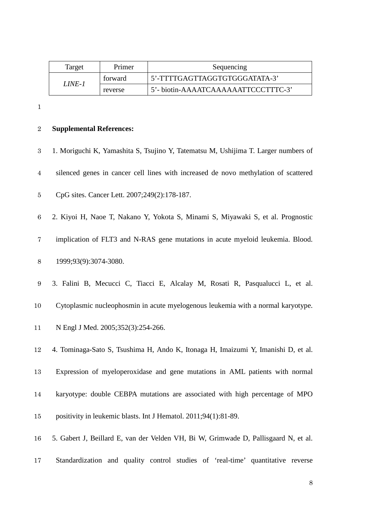| Target | Primer  | Sequencing                         |
|--------|---------|------------------------------------|
| LINE-1 | forward | 5'-TTTTGAGTTAGGTGTGGGATATA-3'      |
|        | reverse | 5'-biotin-AAAATCAAAAAATTCCCTTTC-3' |

## **Supplemental References:**

| $\boldsymbol{3}$ | 1. Moriguchi K, Yamashita S, Tsujino Y, Tatematsu M, Ushijima T. Larger numbers of  |
|------------------|-------------------------------------------------------------------------------------|
| $\bf 4$          | silenced genes in cancer cell lines with increased de novo methylation of scattered |
| $\bf 5$          | CpG sites. Cancer Lett. 2007;249(2):178-187.                                        |
| $\,6\,$          | 2. Kiyoi H, Naoe T, Nakano Y, Yokota S, Minami S, Miyawaki S, et al. Prognostic     |
| $\overline{7}$   | implication of FLT3 and N-RAS gene mutations in acute myeloid leukemia. Blood.      |
| $8\,$            | 1999;93(9):3074-3080.                                                               |
| $\boldsymbol{9}$ | 3. Falini B, Mecucci C, Tiacci E, Alcalay M, Rosati R, Pasqualucci L, et al.        |
| $10\,$           | Cytoplasmic nucleophosmin in acute myelogenous leukemia with a normal karyotype.    |
| 11               | N Engl J Med. 2005;352(3):254-266.                                                  |
| $12\,$           | 4. Tominaga-Sato S, Tsushima H, Ando K, Itonaga H, Imaizumi Y, Imanishi D, et al.   |
| 13               | Expression of myeloperoxidase and gene mutations in AML patients with normal        |
| $14\,$           | karyotype: double CEBPA mutations are associated with high percentage of MPO        |
| $15\,$           | positivity in leukemic blasts. Int J Hematol. 2011;94(1):81-89.                     |
| 16               | 5. Gabert J, Beillard E, van der Velden VH, Bi W, Grimwade D, Pallisgaard N, et al. |
| 17               | Standardization and quality control studies of 'real-time' quantitative reverse     |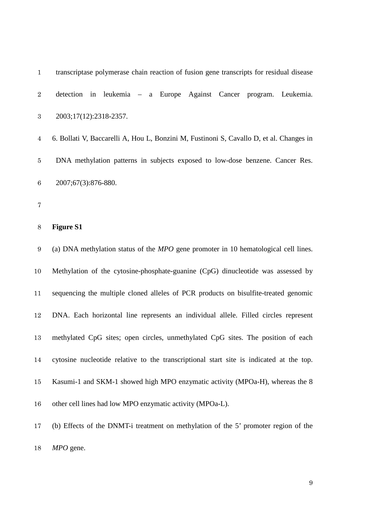| $\mathbf 1$      | transcriptase polymerase chain reaction of fusion gene transcripts for residual disease |
|------------------|-----------------------------------------------------------------------------------------|
| $\sqrt{2}$       | detection in leukemia – a Europe Against Cancer program. Leukemia.                      |
| $\boldsymbol{3}$ | 2003;17(12):2318-2357.                                                                  |
| $\overline{4}$   | 6. Bollati V, Baccarelli A, Hou L, Bonzini M, Fustinoni S, Cavallo D, et al. Changes in |
| $\bf 5$          | DNA methylation patterns in subjects exposed to low-dose benzene. Cancer Res.           |
| $\,6$            | 2007;67(3):876-880.                                                                     |
| $\bf 7$          |                                                                                         |
| $8\,$            | <b>Figure S1</b>                                                                        |
| $\boldsymbol{9}$ | (a) DNA methylation status of the $MPO$ gene promoter in 10 hematological cell lines.   |
| 10               | Methylation of the cytosine-phosphate-guanine (CpG) dinucleotide was assessed by        |
| 11               | sequencing the multiple cloned alleles of PCR products on bisulfite-treated genomic     |
| 12               | DNA. Each horizontal line represents an individual allele. Filled circles represent     |
| 13               | methylated CpG sites; open circles, unmethylated CpG sites. The position of each        |
| 14               | cytosine nucleotide relative to the transcriptional start site is indicated at the top. |
| $15\,$           | Kasumi-1 and SKM-1 showed high MPO enzymatic activity (MPOa-H), whereas the 8           |
| 16               | other cell lines had low MPO enzymatic activity (MPOa-L).                               |
| 17               | (b) Effects of the DNMT-i treatment on methylation of the 5' promoter region of the     |
|                  |                                                                                         |

*MPO* gene.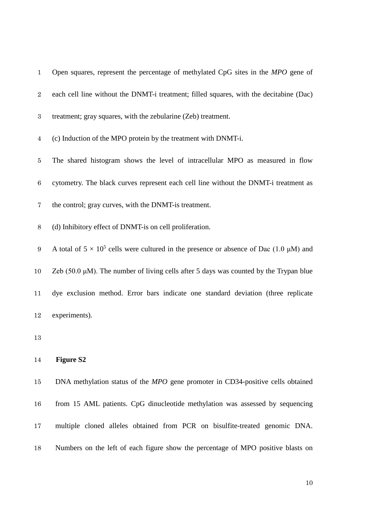| $\mathbf{1}$     | Open squares, represent the percentage of methylated CpG sites in the MPO gene of             |
|------------------|-----------------------------------------------------------------------------------------------|
| $\overline{2}$   | each cell line without the DNMT-i treatment; filled squares, with the decitabine (Dac)        |
| $\boldsymbol{3}$ | treatment; gray squares, with the zebularine (Zeb) treatment.                                 |
| $\overline{4}$   | (c) Induction of the MPO protein by the treatment with DNMT-i.                                |
| $\bf 5$          | The shared histogram shows the level of intracellular MPO as measured in flow                 |
| $\,6\,$          | cytometry. The black curves represent each cell line without the DNMT-i treatment as          |
| $\bf 7$          | the control; gray curves, with the DNMT-is treatment.                                         |
| $8\,$            | (d) Inhibitory effect of DNMT-is on cell proliferation.                                       |
| $\boldsymbol{9}$ | A total of $5 \times 10^5$ cells were cultured in the presence or absence of Dac (1.0 µM) and |
| 10               | Zeb $(50.0 \mu M)$ . The number of living cells after 5 days was counted by the Trypan blue   |
| 11               | dye exclusion method. Error bars indicate one standard deviation (three replicate             |
| 12               | experiments).                                                                                 |
| 13               |                                                                                               |
| 14               | <b>Figure S2</b>                                                                              |
| $15\,$           | DNA methylation status of the MPO gene promoter in CD34-positive cells obtained               |
| 16               | from 15 AML patients. CpG dinucleotide methylation was assessed by sequencing                 |
| 17               | multiple cloned alleles obtained from PCR on bisulfite-treated genomic DNA.                   |
| 18               | Numbers on the left of each figure show the percentage of MPO positive blasts on              |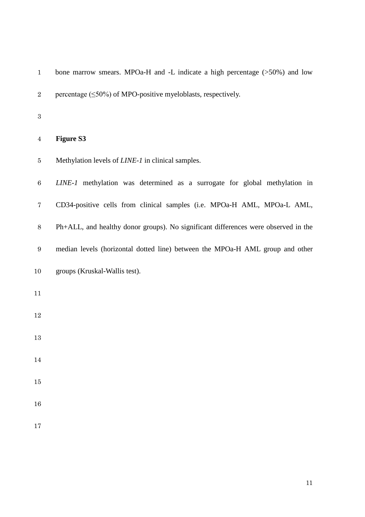| $\mathbf{1}$     | bone marrow smears. MPOa-H and -L indicate a high percentage $($ >50%) and low     |
|------------------|------------------------------------------------------------------------------------|
| $\sqrt{2}$       | percentage $(\leq 50\%)$ of MPO-positive myeloblasts, respectively.                |
| $\boldsymbol{3}$ |                                                                                    |
| $\overline{4}$   | <b>Figure S3</b>                                                                   |
| 5                | Methylation levels of <i>LINE-1</i> in clinical samples.                           |
| $\,6$            | LINE-1 methylation was determined as a surrogate for global methylation in         |
| 7                | CD34-positive cells from clinical samples (i.e. MPOa-H AML, MPOa-L AML,            |
| $8\,$            | Ph+ALL, and healthy donor groups). No significant differences were observed in the |
| $\boldsymbol{9}$ | median levels (horizontal dotted line) between the MPOa-H AML group and other      |
| 10               | groups (Kruskal-Wallis test).                                                      |
| 11               |                                                                                    |
| 12               |                                                                                    |
| 13               |                                                                                    |
| 14               |                                                                                    |
| 15               |                                                                                    |
| 16               |                                                                                    |
| 17               |                                                                                    |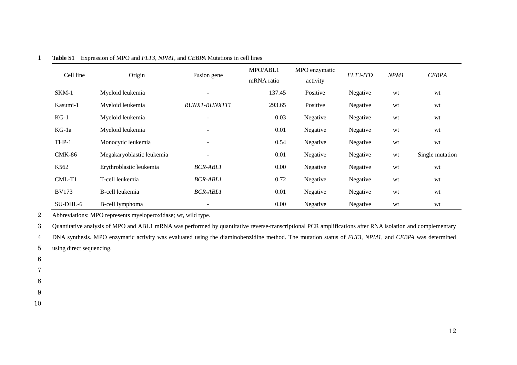| Cell line     | Origin                    | Fusion gene              | MPO/ABL1<br>mRNA ratio | MPO enzymatic<br>activity | <b>FLT3-ITD</b> | NPM1 | <b>CEBPA</b>    |
|---------------|---------------------------|--------------------------|------------------------|---------------------------|-----------------|------|-----------------|
| SKM-1         | Myeloid leukemia          |                          | 137.45                 | Positive                  | Negative        | wt   | wt              |
| Kasumi-1      | Myeloid leukemia          | RUNX1-RUNX1T1            | 293.65                 | Positive                  | Negative        | wt   | wt              |
| $KG-1$        | Myeloid leukemia          |                          | 0.03                   | Negative                  | Negative        | wt   | wt              |
| KG-1a         | Myeloid leukemia          |                          | 0.01                   | Negative                  | Negative        | wt   | wt              |
| THP-1         | Monocytic leukemia        | $\overline{\phantom{a}}$ | 0.54                   | Negative                  | Negative        | wt   | wt              |
| <b>CMK-86</b> | Megakaryoblastic leukemia |                          | 0.01                   | Negative                  | Negative        | wt   | Single mutation |
| K562          | Erythroblastic leukemia   | <b>BCR-ABLI</b>          | 0.00                   | Negative                  | Negative        | wt   | wt              |
| CML-T1        | T-cell leukemia           | <b>BCR-ABL1</b>          | 0.72                   | Negative                  | Negative        | wt   | wt              |
| <b>BV173</b>  | B-cell leukemia           | <b>BCR-ABL1</b>          | 0.01                   | Negative                  | Negative        | wt   | wt              |
| SU-DHL-6      | B-cell lymphoma           |                          | 0.00                   | Negative                  | Negative        | wt   | wt              |

#### 1 **Table S1** Expression of MPO and *FLT3*, *NPM1*, and *CEBPA* Mutations in cell lines

2 Abbreviations: MPO represents myeloperoxidase; wt, wild type.

3 Quantitative analysis of MPO and ABL1 mRNA was performed by quantitative reverse-transcriptional PCR amplifications after RNA isolation and complementary

4 DNA synthesis. MPO enzymatic activity was evaluated using the diaminobenzidine method. The mutation status of *FLT3*, *NPM1*, and *CEBPA* was determined

5 using direct sequencing.

- 6
- 7
- 8
- 9
- 10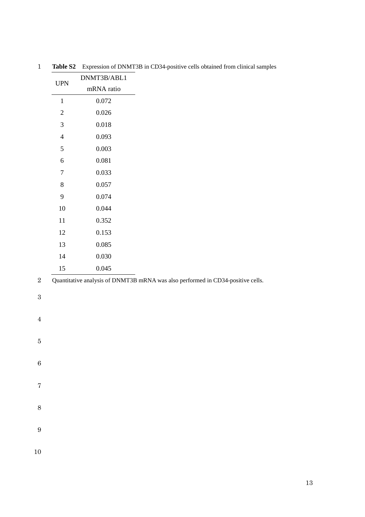|  | $\ensuremath{\mathrm{UPN}}$ | $\textup{DNMT3B/ABL1}$                                                          |
|--|-----------------------------|---------------------------------------------------------------------------------|
|  |                             | mRNA ratio                                                                      |
|  | $\,1$                       | 0.072                                                                           |
|  | $\sqrt{2}$                  | $0.026\,$                                                                       |
|  | 3                           | $0.018\,$                                                                       |
|  | $\overline{4}$              | 0.093                                                                           |
|  | $\mathfrak{S}$              | 0.003                                                                           |
|  | $\sqrt{6}$                  | $0.081\,$                                                                       |
|  | $\tau$                      | 0.033                                                                           |
|  | $8\,$                       | 0.057                                                                           |
|  | $\mathbf{9}$                | $0.074\,$                                                                       |
|  | $10\,$                      | 0.044                                                                           |
|  | 11                          | 0.352                                                                           |
|  | 12                          | 0.153                                                                           |
|  | 13                          | 0.085                                                                           |
|  | 14                          | $0.030\,$                                                                       |
|  | 15                          | 0.045                                                                           |
|  |                             | Quantitative analysis of DNMT3B mRNA was also performed in CD34-positive cells. |
|  |                             |                                                                                 |
|  |                             |                                                                                 |
|  |                             |                                                                                 |
|  |                             |                                                                                 |
|  |                             |                                                                                 |
|  |                             |                                                                                 |
|  |                             |                                                                                 |
|  |                             |                                                                                 |
|  |                             |                                                                                 |
|  |                             |                                                                                 |
|  |                             |                                                                                 |
|  |                             |                                                                                 |
|  |                             |                                                                                 |

**Table S2** Expression of DNMT3B in CD34-positive cells obtained from clinical samples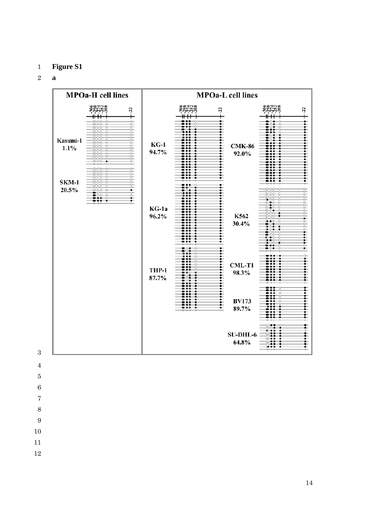### **Figure S1**

### **a**



- 
-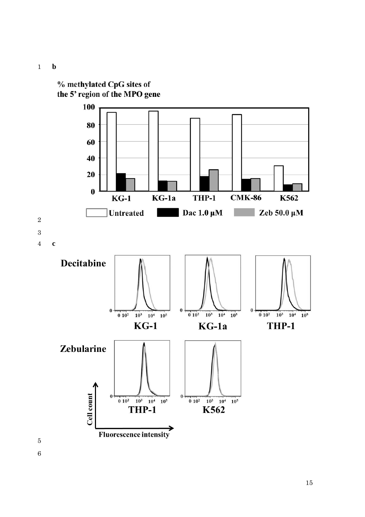1 **b**



 $\overline{6}$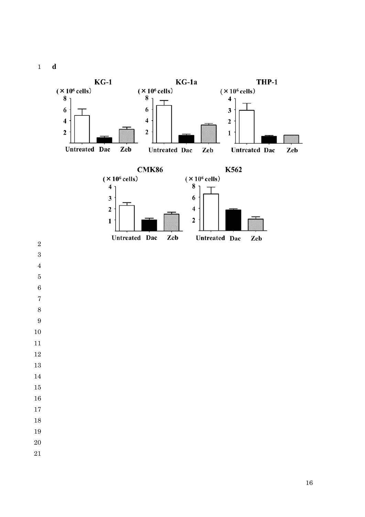**d**

![](_page_15_Figure_1.jpeg)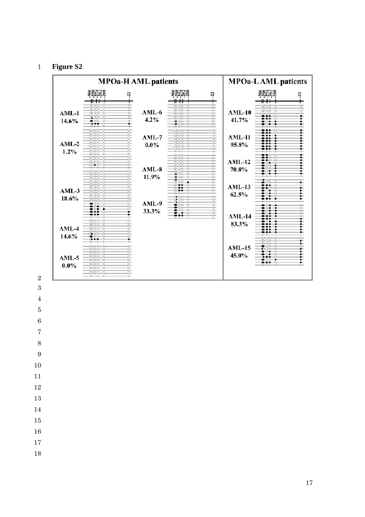### **Figure S2**

![](_page_16_Figure_1.jpeg)

- 
- 
-